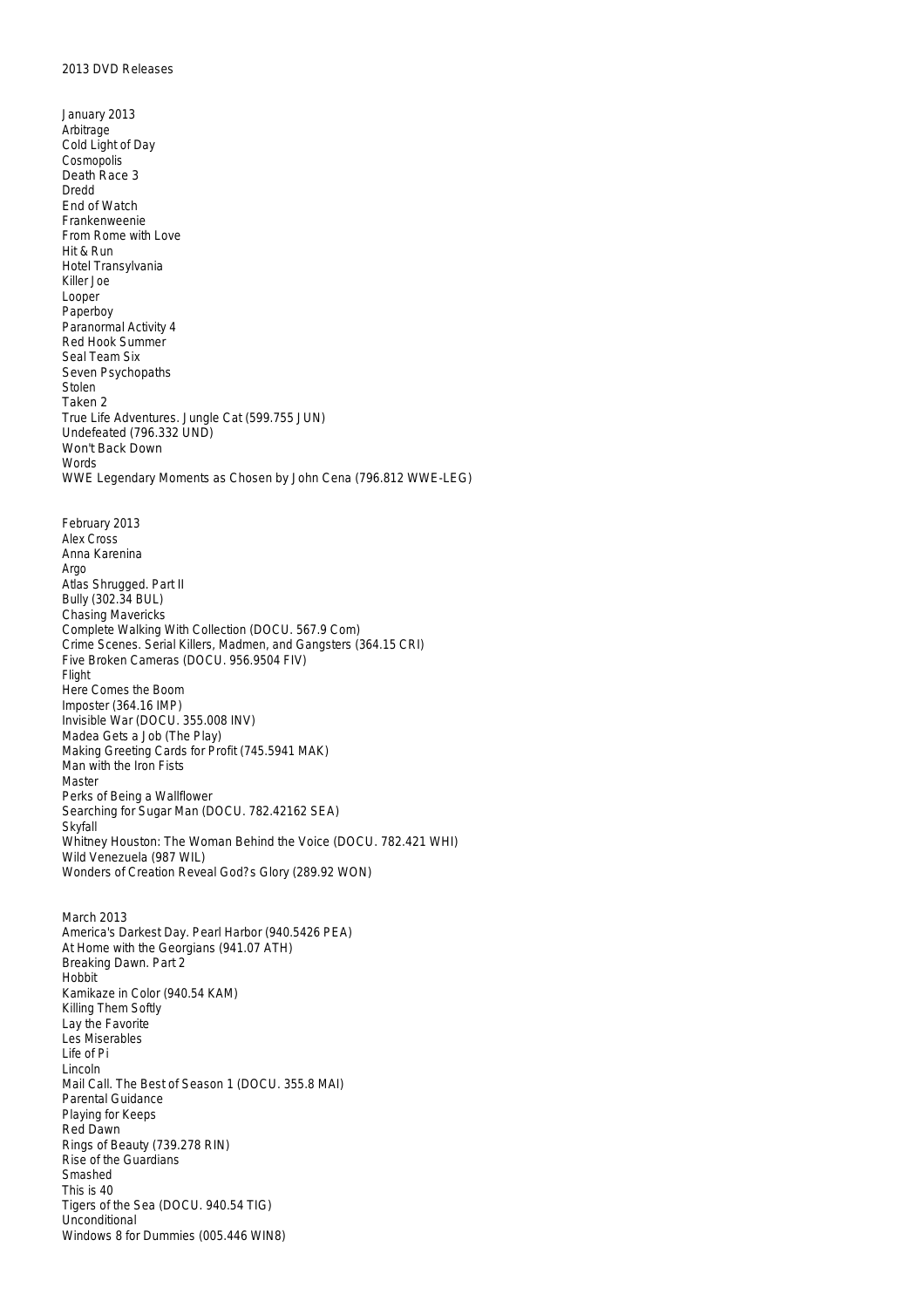January 2013 Arbitrage Cold Light of Day Cosmopolis Death Race 3 Dredd End of Watch Frankenweenie From Rome with Love Hit & Run Hotel Transylvania Killer Joe Looper Paperboy Paranormal Activity 4 Red Hook Summer Seal Team Six Seven Psychopaths Stolen Taken 2 True Life Adventures. Jungle Cat (599.755 JUN) Undefeated (796.332 UND) Won't Back Down **Words** WWE Legendary Moments as Chosen by John Cena (796.812 WWE-LEG) February 2013 Alex Cross Anna Karenina Argo Atlas Shrugged. Part II Bully (302.34 BUL) Chasing Mavericks Complete Walking With Collection (DOCU. 567.9 Com) Crime Scenes. Serial Killers, Madmen, and Gangsters (364.15 CRI) Five Broken Cameras (DOCU. 956.9504 FIV) Flight Here Comes the Boom Imposter (364.16 IMP) Invisible War (DOCU. 355.008 INV) Madea Gets a Job (The Play) Making Greeting Cards for Profit (745.5941 MAK) Man with the Iron Fists Master Perks of Being a Wallflower Searching for Sugar Man (DOCU. 782.42162 SEA) Skyfall Whitney Houston: The Woman Behind the Voice (DOCU. 782.421 WHI) Wild Venezuela (987 WIL) Wonders of Creation Reveal God?s Glory (289.92 WON) March 2013 America's Darkest Day. Pearl Harbor (940.5426 PEA) At Home with the Georgians (941.07 ATH) Breaking Dawn. Part 2 Hobbit Kamikaze in Color (940.54 KAM) Killing Them Softly Lay the Favorite Les Miserables Life of Pi Lincoln Mail Call. The Best of Season 1 (DOCU. 355.8 MAI) Parental Guidance Playing for Keeps Red Dawn Rings of Beauty (739.278 RIN) Rise of the Guardians Smashed This is 40 Tigers of the Sea (DOCU. 940.54 TIG) Unconditional Windows 8 for Dummies (005.446 WIN8)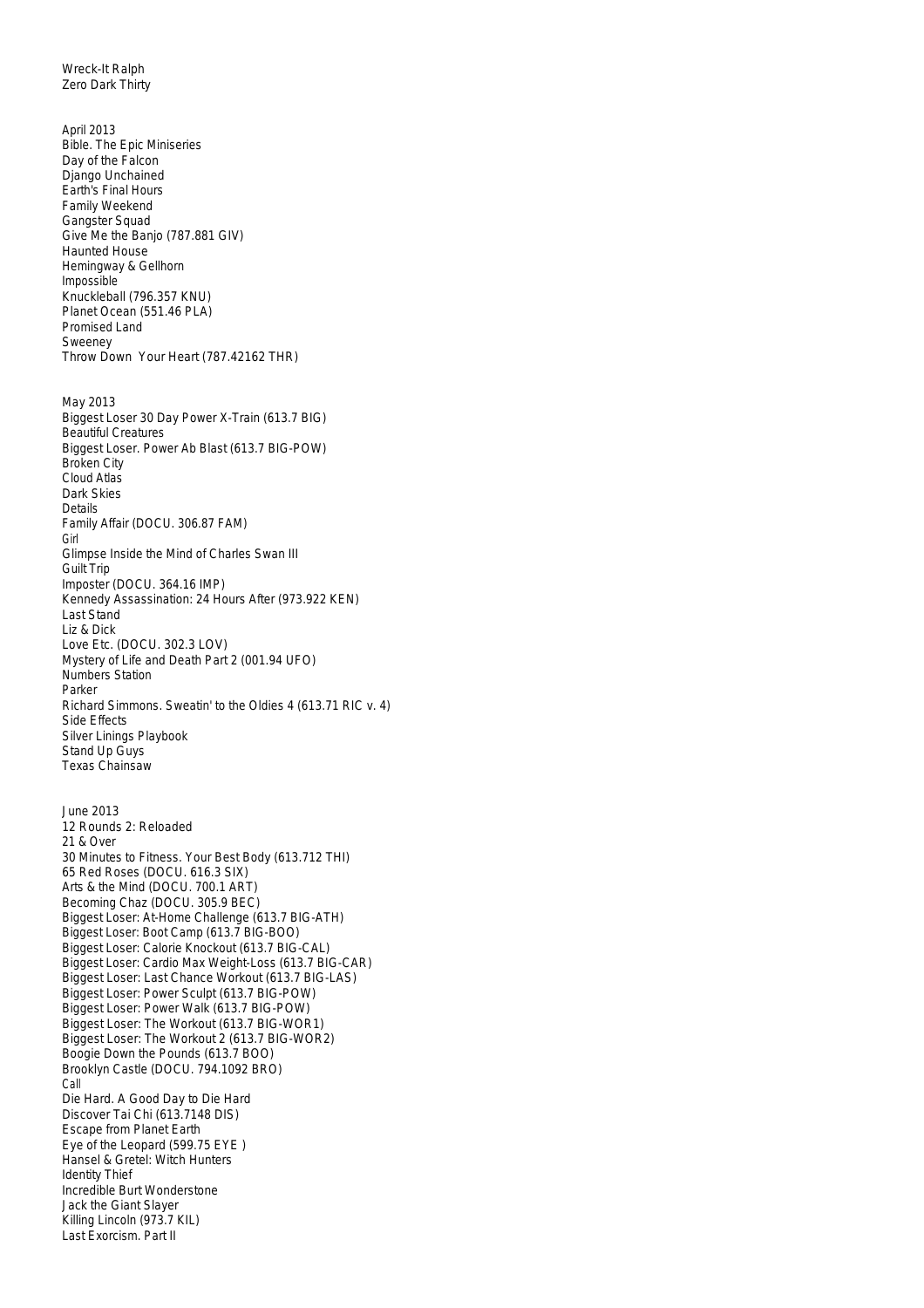Wreck-It Ralph Zero Dark Thirty

April 2013 Bible. The Epic Miniseries Day of the Falcon Django Unchained Earth's Final Hours Family Weekend Gangster Squad Give Me the Banjo (787.881 GIV) Haunted House Hemingway & Gellhorn Impossible Knuckleball (796.357 KNU) Planet Ocean (551.46 PLA) Promised Land Sweeney Throw Down Your Heart (787.42162 THR) May 2013 Biggest Loser 30 Day Power X-Train (613.7 BIG) Beautiful Creatures Biggest Loser. Power Ab Blast (613.7 BIG-POW) Broken City Cloud Atlas Dark Skies Details Family Affair (DOCU. 306.87 FAM) Girl Glimpse Inside the Mind of Charles Swan III Guilt Trip Imposter (DOCU. 364.16 IMP) Kennedy Assassination: 24 Hours After (973.922 KEN) Last Stand Liz & Dick Love Etc. (DOCU. 302.3 LOV) Mystery of Life and Death Part 2 (001.94 UFO) Numbers Station Parker Richard Simmons. Sweatin' to the Oldies 4 (613.71 RIC v. 4) Side Effects Silver Linings Playbook Stand Up Guys Texas Chainsaw June 2013 12 Rounds 2: Reloaded 21 & Over 30 Minutes to Fitness. Your Best Body (613.712 THI) 65 Red Roses (DOCU. 616.3 SIX) Arts & the Mind (DOCU. 700.1 ART) Becoming Chaz (DOCU. 305.9 BEC) Biggest Loser: At-Home Challenge (613.7 BIG-ATH) Biggest Loser: Boot Camp (613.7 BIG-BOO) Biggest Loser: Calorie Knockout (613.7 BIG-CAL) Biggest Loser: Cardio Max Weight-Loss (613.7 BIG-CAR) Biggest Loser: Last Chance Workout (613.7 BIG-LAS) Biggest Loser: Power Sculpt (613.7 BIG-POW) Biggest Loser: Power Walk (613.7 BIG-POW) Biggest Loser: The Workout (613.7 BIG-WOR1) Biggest Loser: The Workout 2 (613.7 BIG-WOR2) Boogie Down the Pounds (613.7 BOO) Brooklyn Castle (DOCU. 794.1092 BRO) Call Die Hard. A Good Day to Die Hard Discover Tai Chi (613.7148 DIS) Escape from Planet Earth Eye of the Leopard (599.75 EYE ) Hansel & Gretel: Witch Hunters Identity Thief Incredible Burt Wonderstone Jack the Giant Slayer Killing Lincoln (973.7 KIL)

Last Exorcism. Part II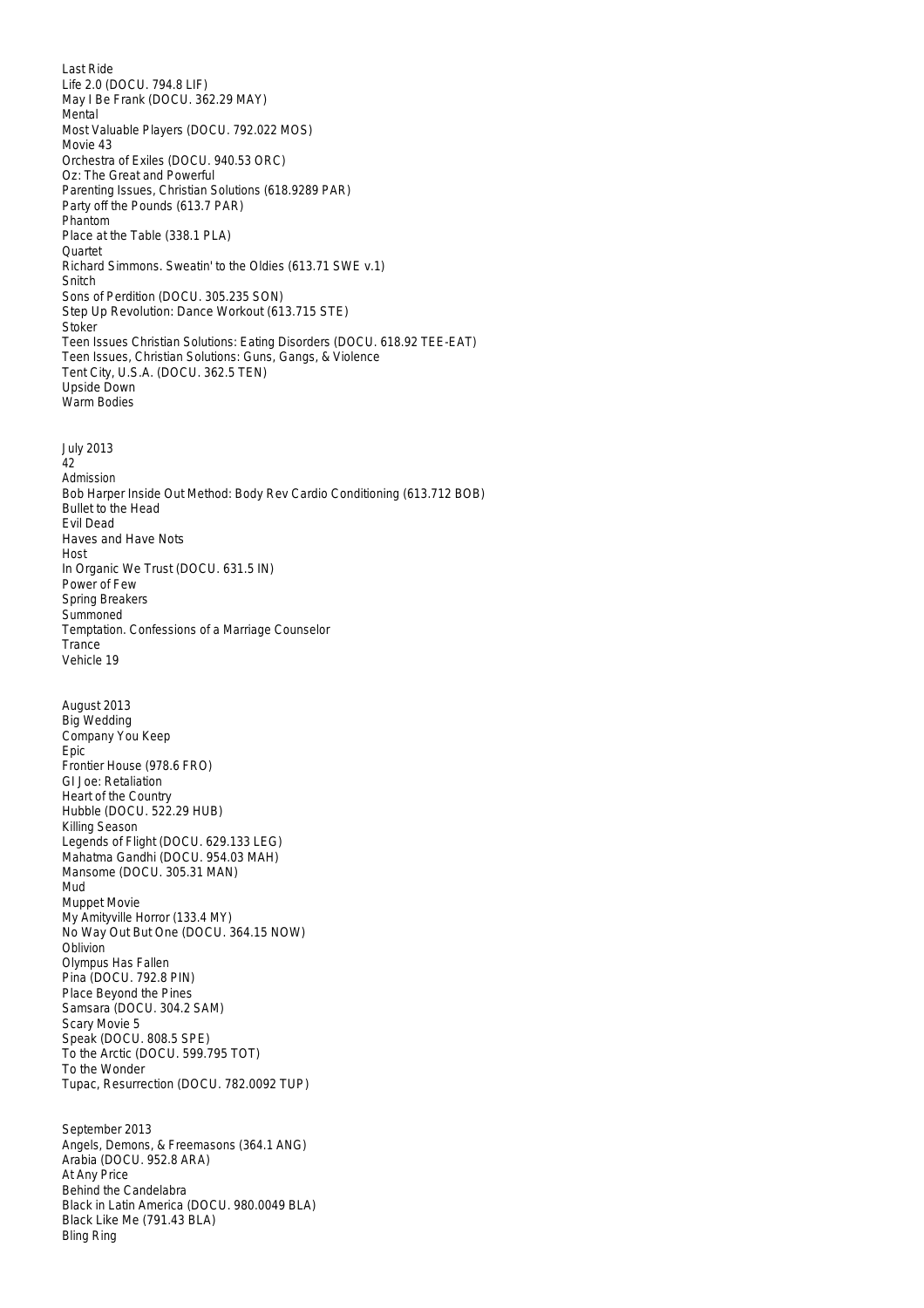Last Ride Life 2.0 (DOCU. 794.8 LIF) May I Be Frank (DOCU. 362.29 MAY) Mental Most Valuable Players (DOCU. 792.022 MOS) Movie 43 Orchestra of Exiles (DOCU. 940.53 ORC) Oz: The Great and Powerful Parenting Issues, Christian Solutions (618.9289 PAR) Party off the Pounds (613.7 PAR) Phantom Place at the Table (338.1 PLA) **Quartet** Richard Simmons. Sweatin' to the Oldies (613.71 SWE v.1) Snitch Sons of Perdition (DOCU. 305.235 SON) Step Up Revolution: Dance Workout (613.715 STE) Stoker Teen Issues Christian Solutions: Eating Disorders (DOCU. 618.92 TEE-EAT) Teen Issues, Christian Solutions: Guns, Gangs, & Violence Tent City, U.S.A. (DOCU. 362.5 TEN) Upside Down Warm Bodies July 2013 42 Admission Bob Harper Inside Out Method: Body Rev Cardio Conditioning (613.712 BOB) Bullet to the Head Evil Dead Haves and Have Nots Host In Organic We Trust (DOCU. 631.5 IN) Power of Few Spring Breakers **Summoned** Temptation. Confessions of a Marriage Counselor **Trance** Vehicle 19 August 2013 Big Wedding Company You Keep Epic Frontier House (978.6 FRO) GI Joe: Retaliation Heart of the Country Hubble (DOCU. 522.29 HUB) Killing Season Legends of Flight (DOCU. 629.133 LEG) Mahatma Gandhi (DOCU. 954.03 MAH) Mansome (DOCU. 305.31 MAN) Mud Muppet Movie My Amityville Horror (133.4 MY) No Way Out But One (DOCU. 364.15 NOW) **Oblivion** Olympus Has Fallen Pina (DOCU. 792.8 PIN) Place Beyond the Pines Samsara (DOCU. 304.2 SAM) Scary Movie 5 Speak (DOCU. 808.5 SPE) To the Arctic (DOCU. 599.795 TOT) To the Wonder Tupac, Resurrection (DOCU. 782.0092 TUP) September 2013 Angels, Demons, & Freemasons (364.1 ANG) Arabia (DOCU. 952.8 ARA) At Any Price Behind the Candelabra

Black in Latin America (DOCU. 980.0049 BLA)

Black Like Me (791.43 BLA)

Bling Ring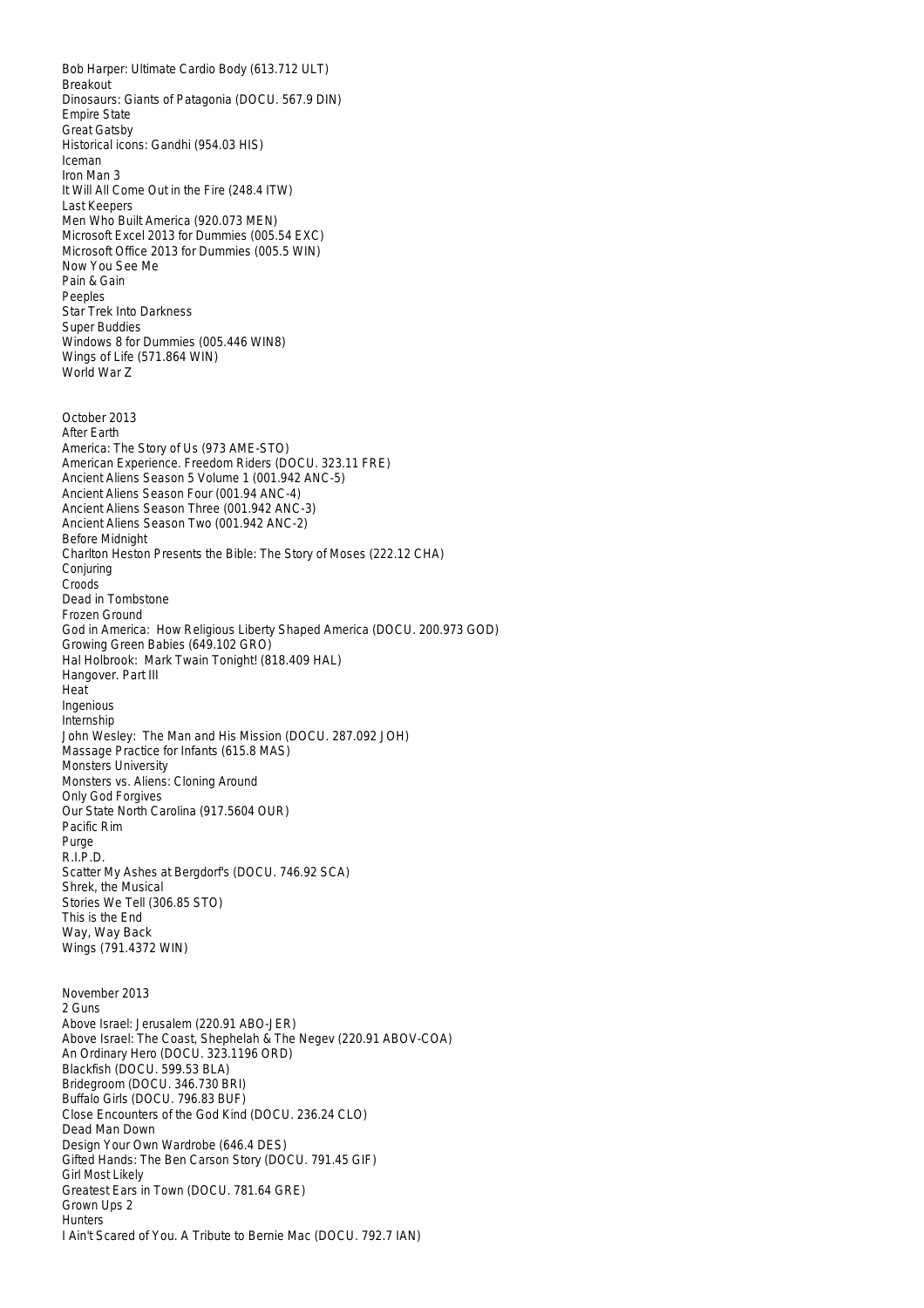Bob Harper: Ultimate Cardio Body (613.712 ULT) Breakout Dinosaurs: Giants of Patagonia (DOCU. 567.9 DIN) Empire State Great Gatsby Historical icons: Gandhi (954.03 HIS) Iceman Iron Man 3 It Will All Come Out in the Fire (248.4 ITW) Last Keepers Men Who Built America (920.073 MEN) Microsoft Excel 2013 for Dummies (005.54 EXC) Microsoft Office 2013 for Dummies (005.5 WIN) Now You See Me Pain & Gain Peeples Star Trek Into Darkness Super Buddies Windows 8 for Dummies (005.446 WIN8) Wings of Life (571.864 WIN) World War Z October 2013 After Earth America: The Story of Us (973 AME-STO) American Experience. Freedom Riders (DOCU. 323.11 FRE) Ancient Aliens Season 5 Volume 1 (001.942 ANC-5) Ancient Aliens Season Four (001.94 ANC-4) Ancient Aliens Season Three (001.942 ANC-3) Ancient Aliens Season Two (001.942 ANC-2) Before Midnight Charlton Heston Presents the Bible: The Story of Moses (222.12 CHA) Conjuring Croods Dead in Tombstone Frozen Ground God in America: How Religious Liberty Shaped America (DOCU. 200.973 GOD) Growing Green Babies (649.102 GRO) Hal Holbrook: Mark Twain Tonight! (818.409 HAL) Hangover. Part III Heat Ingenious Internship John Wesley: The Man and His Mission (DOCU. 287.092 JOH) Massage Practice for Infants (615.8 MAS) Monsters University Monsters vs. Aliens: Cloning Around Only God Forgives Our State North Carolina (917.5604 OUR) Pacific Rim Purge R.I.P.D. Scatter My Ashes at Bergdorf's (DOCU. 746.92 SCA) Shrek, the Musical Stories We Tell (306.85 STO) This is the End Way, Way Back Wings (791.4372 WIN) November 2013 2 Guns Above Israel: Jerusalem (220.91 ABO-JER) Above Israel: The Coast, Shephelah & The Negev (220.91 ABOV-COA) An Ordinary Hero (DOCU. 323.1196 ORD) Blackfish (DOCU. 599.53 BLA) Bridegroom (DOCU. 346.730 BRI) Buffalo Girls (DOCU. 796.83 BUF) Close Encounters of the God Kind (DOCU. 236.24 CLO) Dead Man Down Design Your Own Wardrobe (646.4 DES) Gifted Hands: The Ben Carson Story (DOCU. 791.45 GIF) Girl Most Likely Greatest Ears in Town (DOCU. 781.64 GRE) Grown Ups 2 **Hunters** I Ain't Scared of You. A Tribute to Bernie Mac (DOCU. 792.7 IAN)